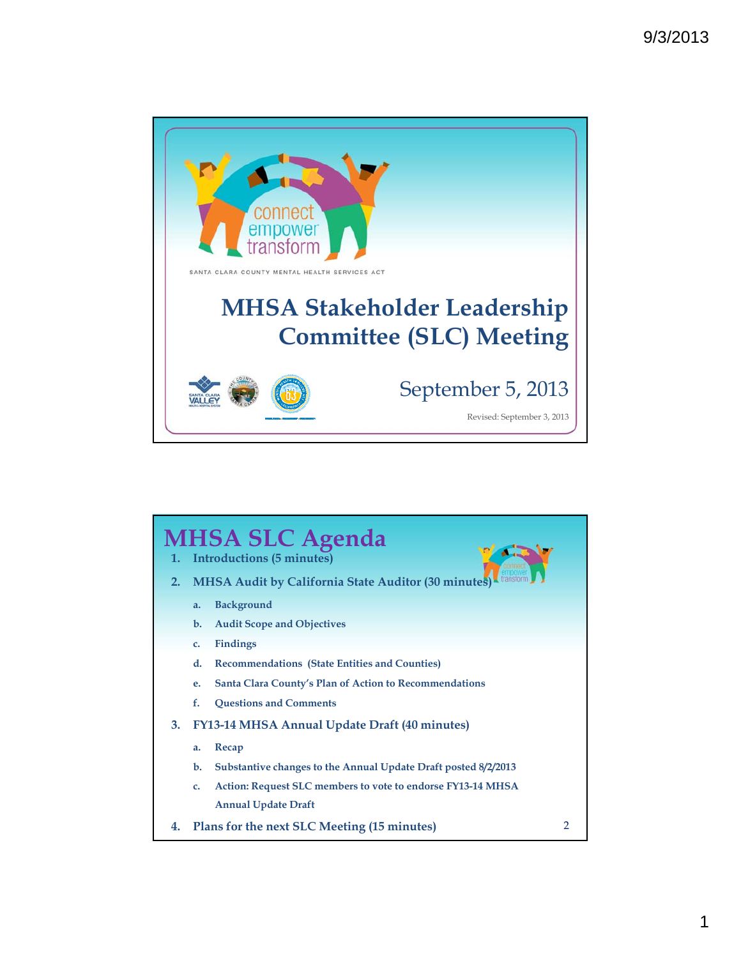

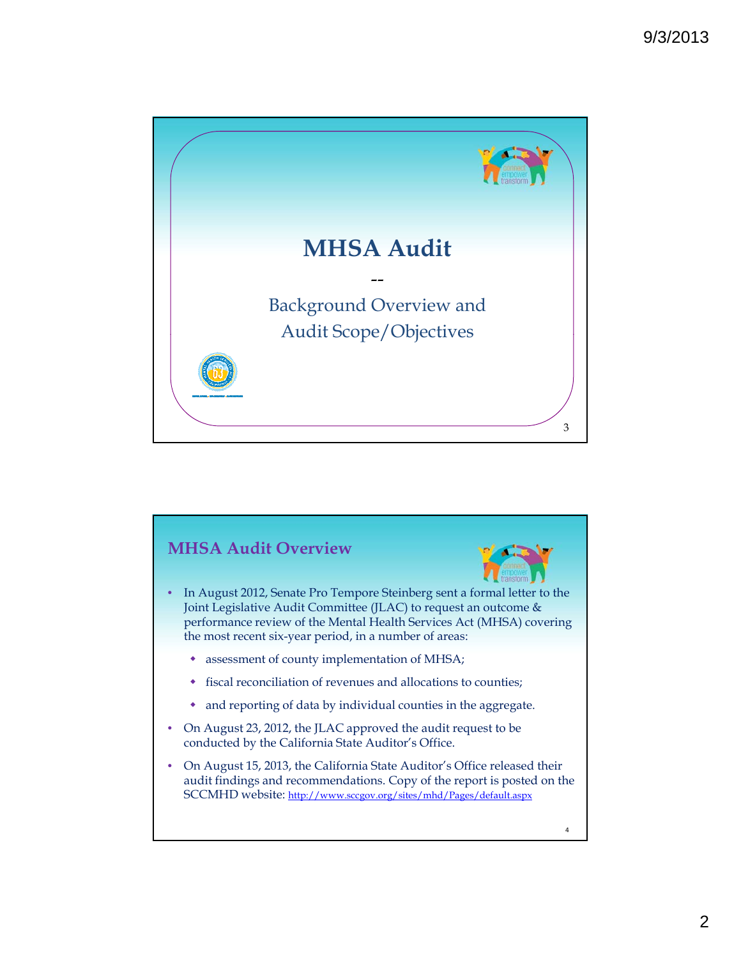

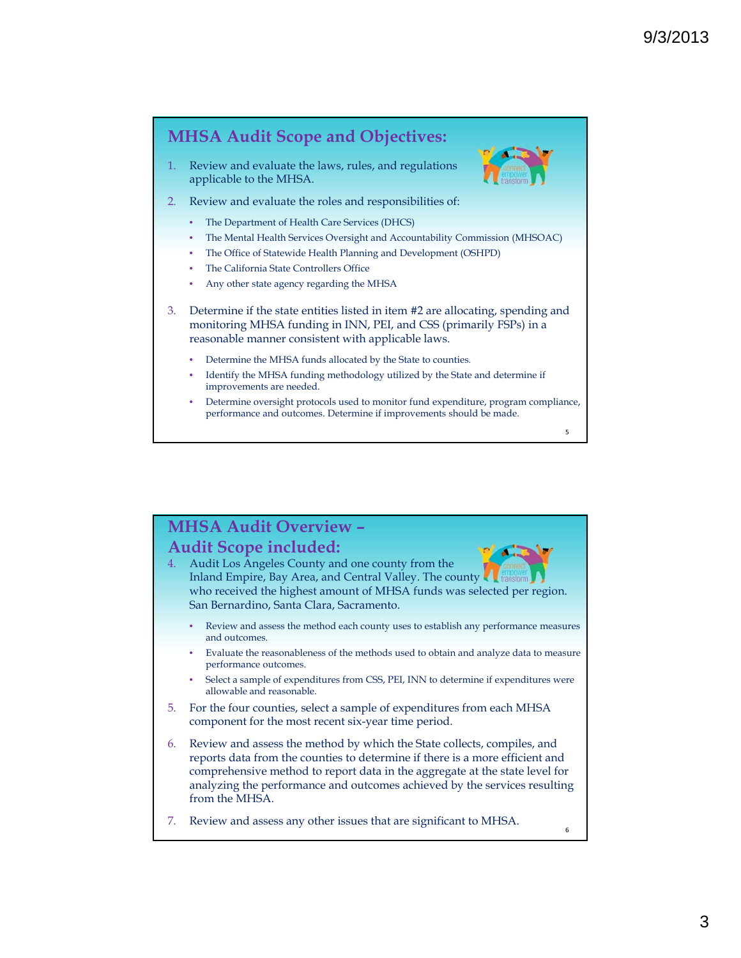## **MHSA Audit Scope and Objectives:**

Review and evaluate the laws, rules, and regulations applicable to the MHSA.



- 2. Review and evaluate the roles and responsibilities of:
	- The Department of Health Care Services (DHCS)
	- The Mental Health Services Oversight and Accountability Commission (MHSOAC)
	- The Office of Statewide Health Planning and Development (OSHPD)
	- The California State Controllers Office
	- Any other state agency regarding the MHSA
- 3. Determine if the state entities listed in item #2 are allocating, spending and monitoring MHSA funding in INN, PEI, and CSS (primarily FSPs) in a reasonable manner consistent with applicable laws.
	- Determine the MHSA funds allocated by the State to counties.
	- Identify the MHSA funding methodology utilized by the State and determine if improvements are needed.
	- Determine oversight protocols used to monitor fund expenditure, program compliance, performance and outcomes. Determine if improvements should be made.

## **MHSA Audit Overview – Audit Scope included:**

- 4. Audit Los Angeles County and one county from the Inland Empire, Bay Area, and Central Valley. The county who received the highest amount of MHSA funds was selected per region. San Bernardino, Santa Clara, Sacramento.
	- Review and assess the method each county uses to establish any performance measures and outcomes.
	- Evaluate the reasonableness of the methods used to obtain and analyze data to measure performance outcomes.
	- Select a sample of expenditures from CSS, PEI, INN to determine if expenditures were allowable and reasonable.
- 5. For the four counties, select a sample of expenditures from each MHSA component for the most recent six-year time period.
- 6. Review and assess the method by which the State collects, compiles, and reports data from the counties to determine if there is a more efficient and comprehensive method to report data in the aggregate at the state level for analyzing the performance and outcomes achieved by the services resulting from the MHSA.
- 7. Review and assess any other issues that are significant to MHSA.

6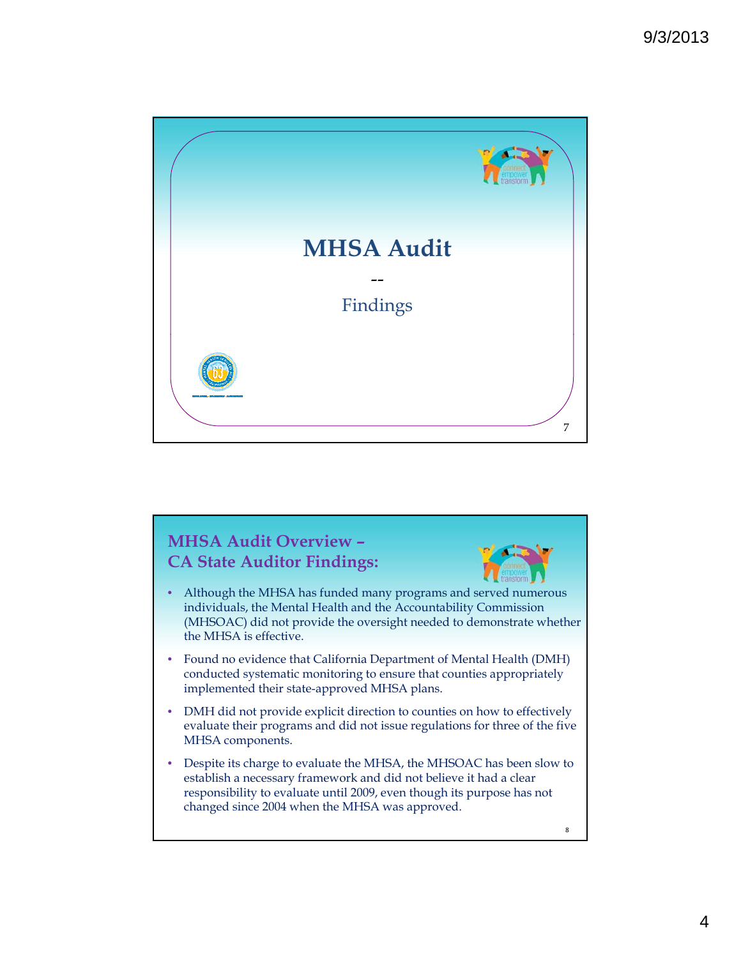

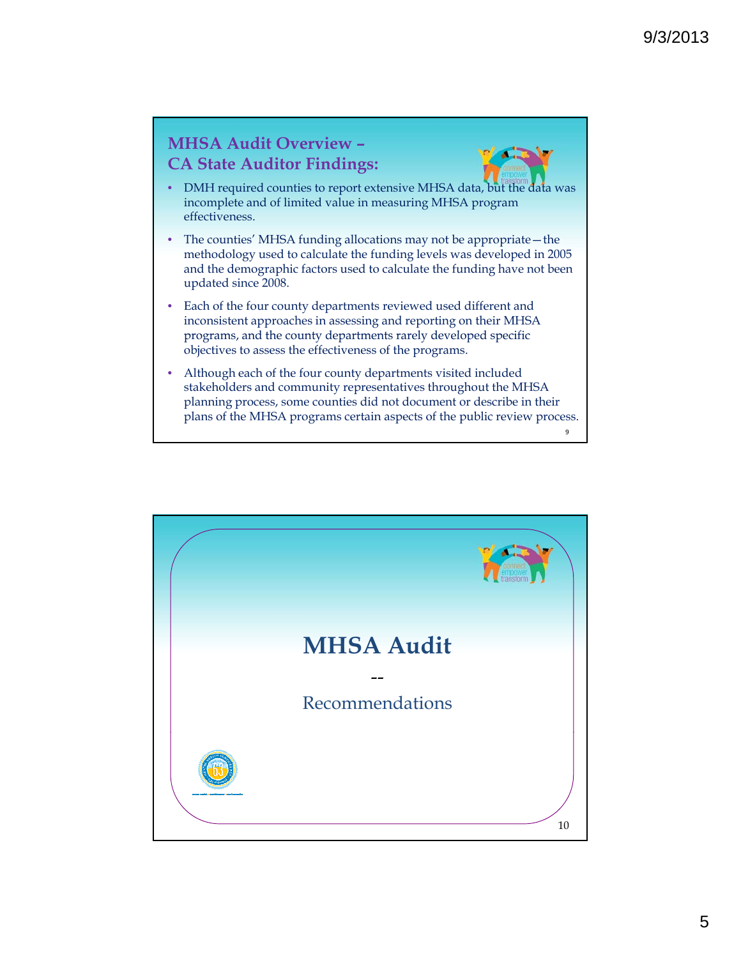## **MHSA Audit Overview – CA State Auditor Findings:**



 $\mathsf{q}$ 

- DMH required counties to report extensive MHSA data, but the data was incomplete and of limited value in measuring MHSA program effectiveness.
- The counties' MHSA funding allocations may not be appropriate—the methodology used to calculate the funding levels was developed in 2005 and the demographic factors used to calculate the funding have not been updated since 2008.
- Each of the four county departments reviewed used different and inconsistent approaches in assessing and reporting on their MHSA programs, and the county departments rarely developed specific objectives to assess the effectiveness of the programs.
- Although each of the four county departments visited included stakeholders and community representatives throughout the MHSA planning process, some counties did not document or describe in their plans of the MHSA programs certain aspects of the public review process.

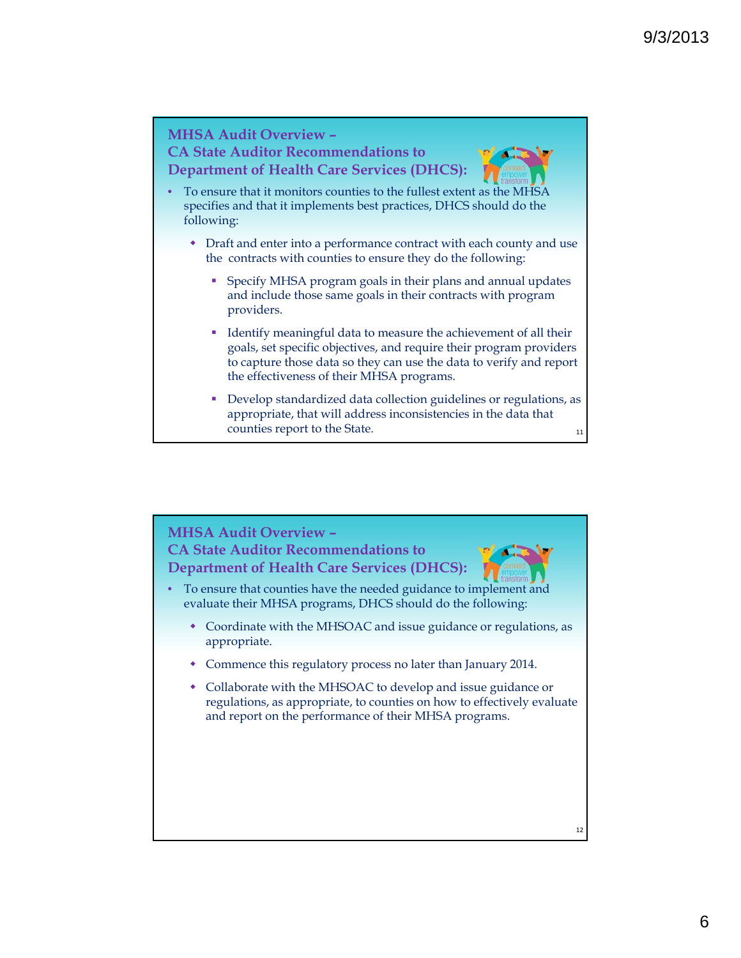

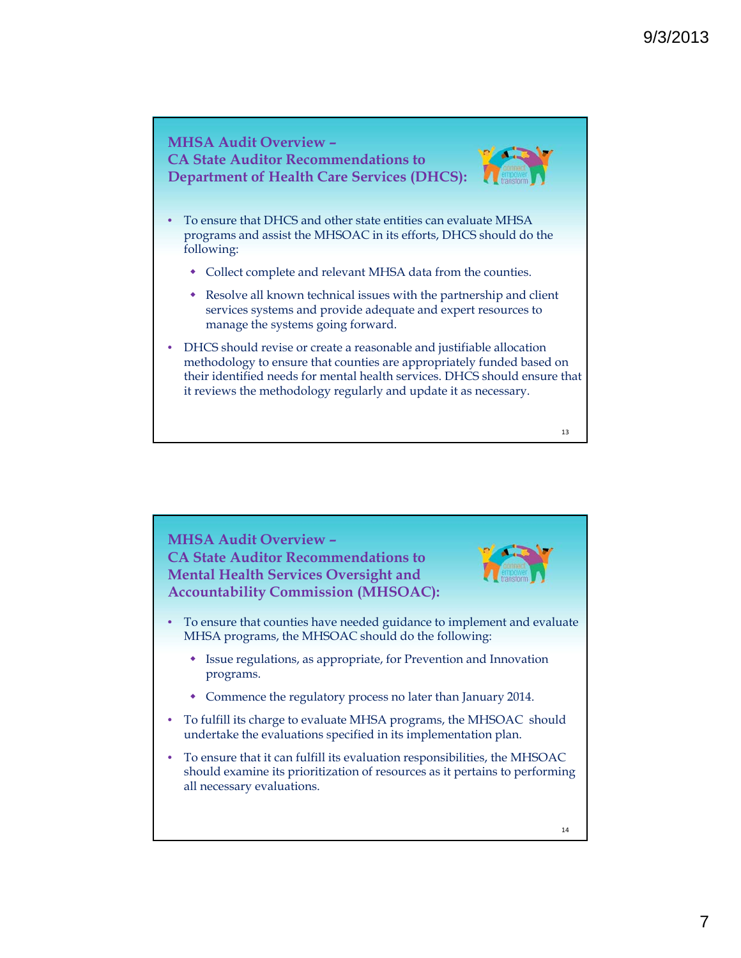**MHSA Audit Overview – CA State Auditor Recommendations to Department of Health Care Services (DHCS):**



- To ensure that DHCS and other state entities can evaluate MHSA programs and assist the MHSOAC in its efforts, DHCS should do the following:
	- Collect complete and relevant MHSA data from the counties.
	- Resolve all known technical issues with the partnership and client services systems and provide adequate and expert resources to manage the systems going forward.
- DHCS should revise or create a reasonable and justifiable allocation methodology to ensure that counties are appropriately funded based on their identified needs for mental health services. DHCS should ensure that it reviews the methodology regularly and update it as necessary.



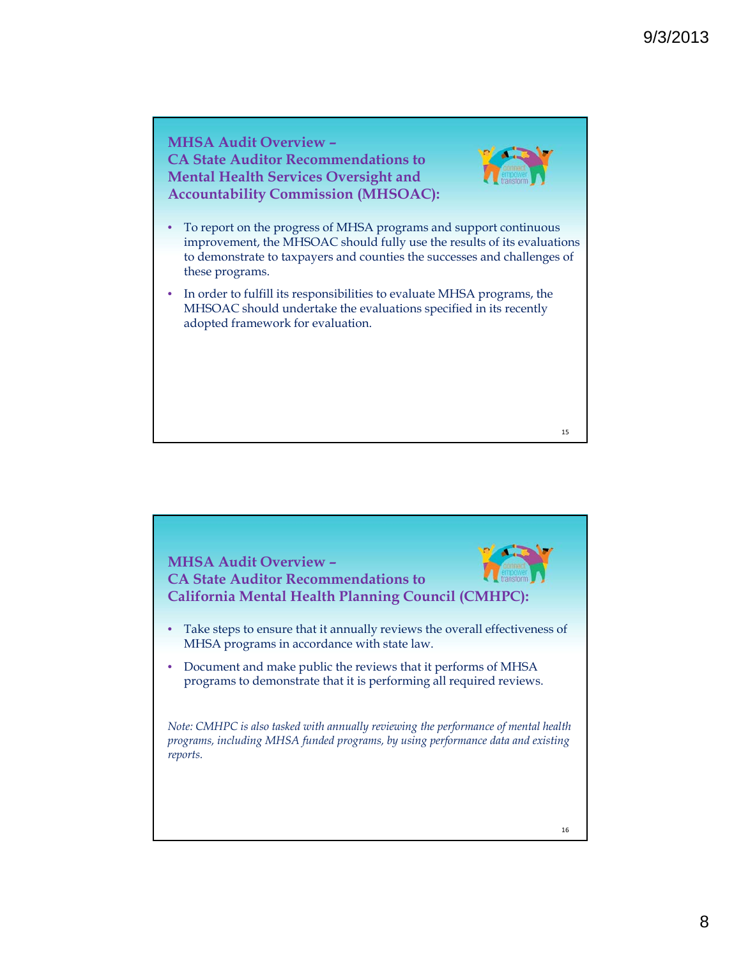**MHSA Audit Overview – CA State Auditor Recommendations to Mental Health Services Oversight and Accountability Commission (MHSOAC):**



- To report on the progress of MHSA programs and support continuous improvement, the MHSOAC should fully use the results of its evaluations to demonstrate to taxpayers and counties the successes and challenges of these programs.
- In order to fulfill its responsibilities to evaluate MHSA programs, the MHSOAC should undertake the evaluations specified in its recently adopted framework for evaluation.

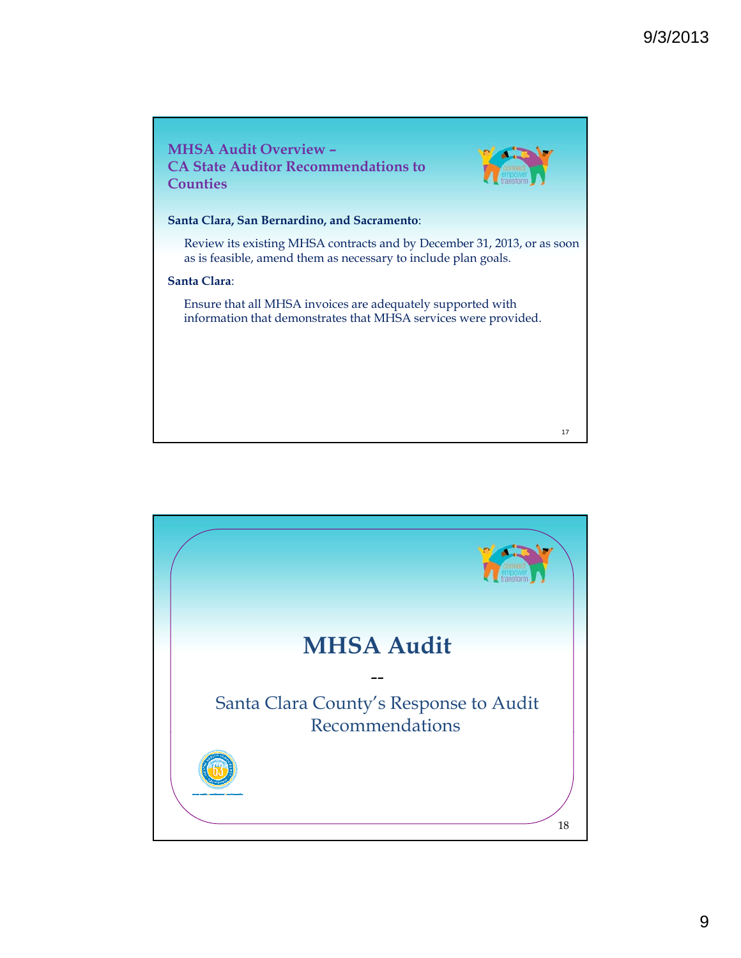

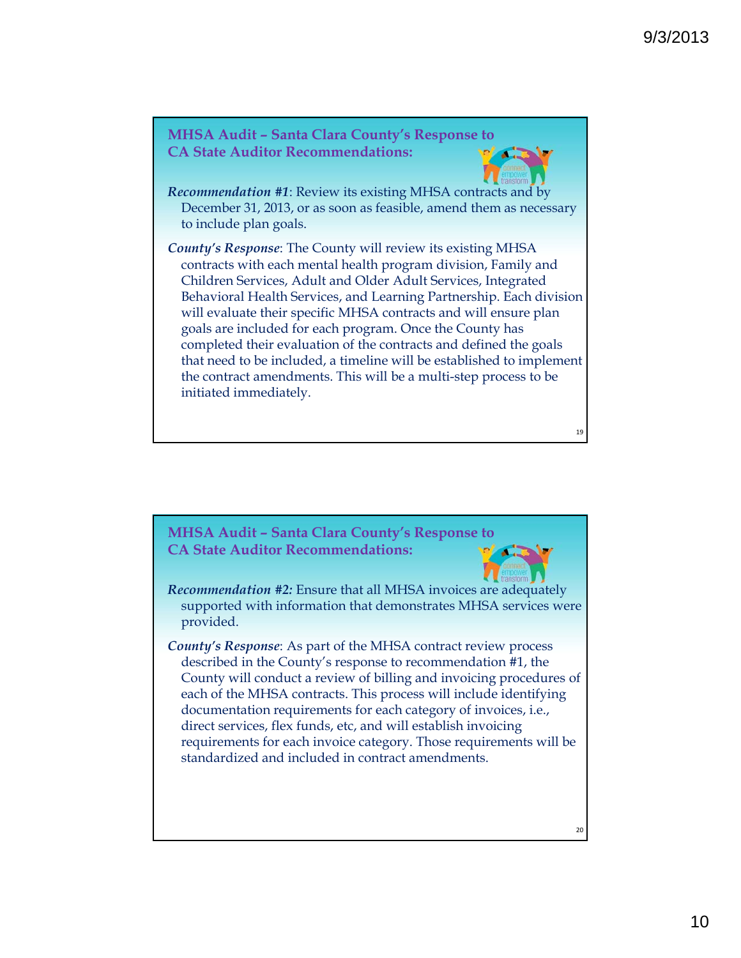



*Recommendation #1*: Review its existing MHSA contracts and by December 31, 2013, or as soon as feasible, amend them as necessary to include plan goals.

*County's Response*: The County will review its existing MHSA contracts with each mental health program division, Family and Children Services, Adult and Older Adult Services, Integrated Behavioral Health Services, and Learning Partnership. Each division will evaluate their specific MHSA contracts and will ensure plan goals are included for each program. Once the County has completed their evaluation of the contracts and defined the goals that need to be included, a timeline will be established to implement the contract amendments. This will be a multi-step process to be initiated immediately.

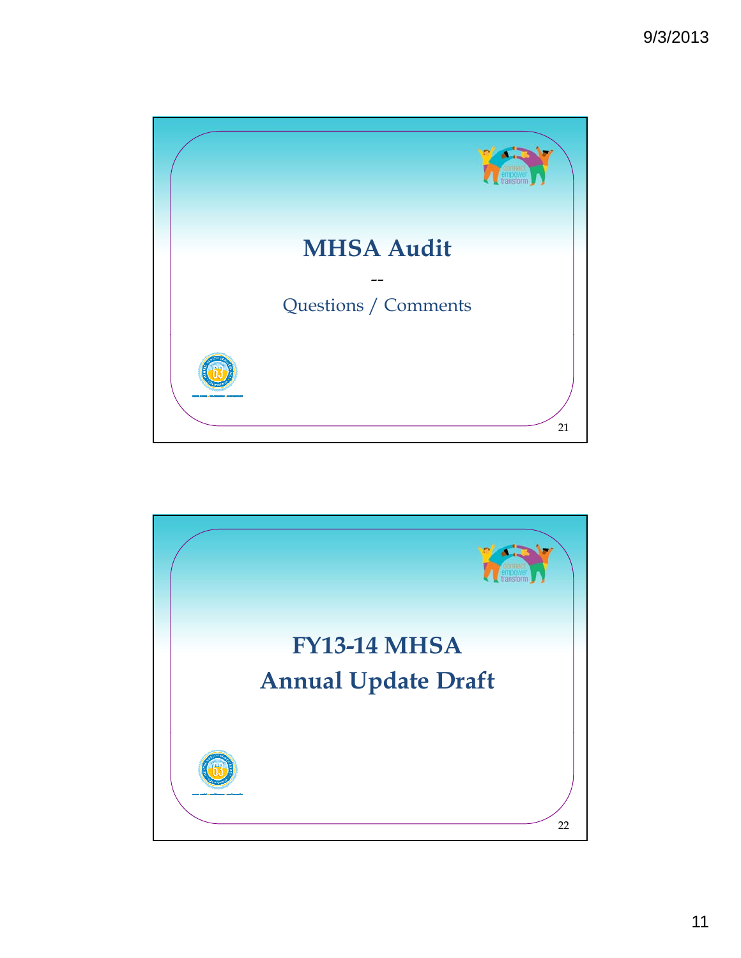

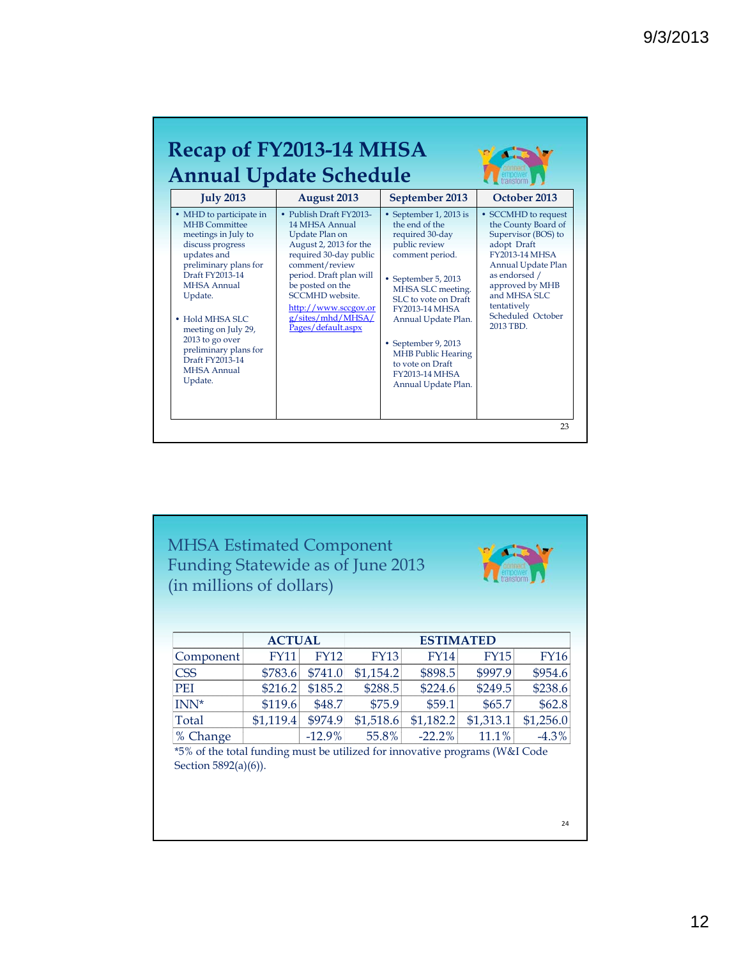|                                                                                                                                                                                                                                                                                                                    | <b>Annual Update Schedule</b>                                                                                                                                                                                                                                          |                                                                                                                                                                                                                                                                                                                                             |                                                                                                                                                                                                                                       |
|--------------------------------------------------------------------------------------------------------------------------------------------------------------------------------------------------------------------------------------------------------------------------------------------------------------------|------------------------------------------------------------------------------------------------------------------------------------------------------------------------------------------------------------------------------------------------------------------------|---------------------------------------------------------------------------------------------------------------------------------------------------------------------------------------------------------------------------------------------------------------------------------------------------------------------------------------------|---------------------------------------------------------------------------------------------------------------------------------------------------------------------------------------------------------------------------------------|
| <b>July 2013</b>                                                                                                                                                                                                                                                                                                   | <b>August 2013</b>                                                                                                                                                                                                                                                     | September 2013                                                                                                                                                                                                                                                                                                                              | October 2013                                                                                                                                                                                                                          |
| • MHD to participate in<br><b>MHB</b> Committee<br>meetings in July to<br>discuss progress<br>updates and<br>preliminary plans for<br>Draft FY2013-14<br>MHSA Annual<br>Update.<br>• Hold MHSA SLC<br>meeting on July 29,<br>2013 to go over<br>preliminary plans for<br>Draft FY2013-14<br>MHSA Annual<br>Update. | • Publish Draft FY2013-<br>14 MHSA Annual<br>Update Plan on<br>August 2, 2013 for the<br>required 30-day public<br>comment/review<br>period. Draft plan will<br>be posted on the<br>SCCMHD website.<br>http://www.sccgov.or<br>g/sites/mhd/MHSA/<br>Pages/default.aspx | • September 1, 2013 is<br>the end of the<br>required 30-day<br>public review<br>comment period.<br>• September 5, 2013<br>MHSA SLC meeting.<br>SLC to vote on Draft<br><b>FY2013-14 MHSA</b><br>Annual Update Plan.<br>• September 9, 2013<br><b>MHB Public Hearing</b><br>to vote on Draft<br><b>FY2013-14 MHSA</b><br>Annual Update Plan. | • SCCMHD to request<br>the County Board of<br>Supervisor (BOS) to<br>adopt Draft<br><b>FY2013-14 MHSA</b><br>Annual Update Plan<br>as endorsed /<br>approved by MHB<br>and MHSA SLC.<br>tentatively<br>Scheduled October<br>2013 TBD. |

MHSA Estimated Component Funding Statewide as of June 2013 (in millions of dollars)



24

|                  | <b>ACTUAL</b> |             |             | <b>ESTIMATED</b> |             |             |
|------------------|---------------|-------------|-------------|------------------|-------------|-------------|
| Component        | <b>FY11</b>   | <b>FY12</b> | <b>FY13</b> | <b>FY14</b>      | <b>FY15</b> | <b>FY16</b> |
| <b>CSS</b>       | \$783.6       | \$741.0     | \$1,154.2   | \$898.5          | \$997.9     | \$954.6     |
| <b>PEI</b>       | \$216.2       | \$185.2     | \$288.5     | \$224.6          | \$249.5     | \$238.6     |
| INN <sup>*</sup> | \$119.6       | \$48.7      | \$75.9      | \$59.1           | \$65.7      | \$62.8      |
| Total            | \$1,119.4     | \$974.9     | \$1,518.6   | \$1,182.2        | \$1,313.1   | \$1,256.0   |
| % Change         |               | $-12.9\%$   | 55.8%       | $-22.2\%$        | 11.1%       | $-4.3\%$    |

\*5% of the total funding must be utilized for innovative programs (W&I Code Section 5892(a)(6)).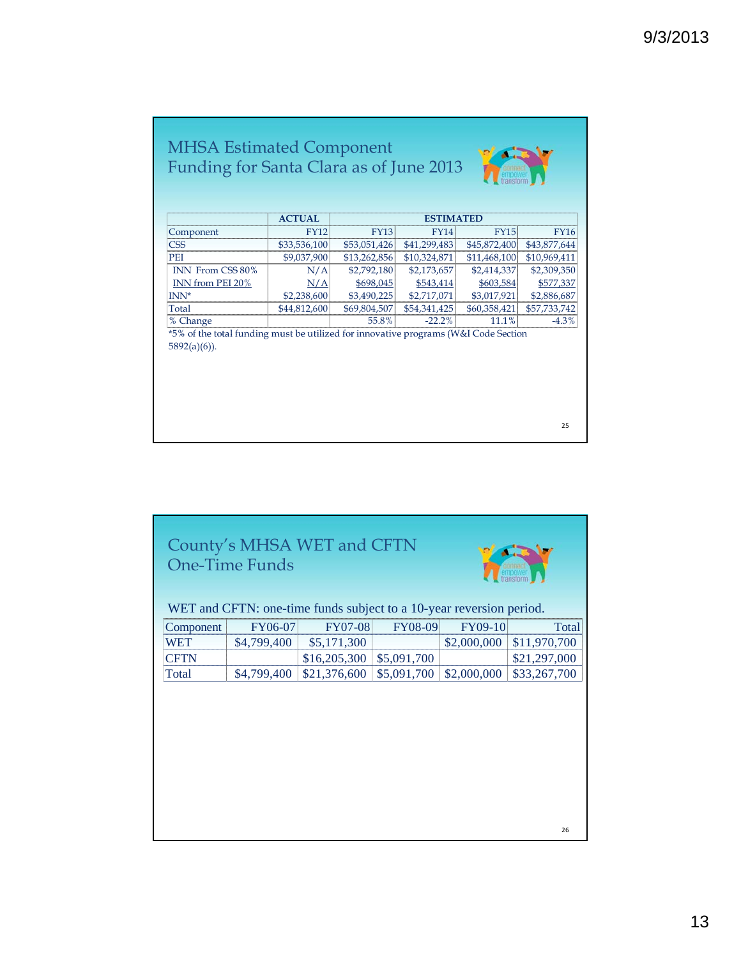|                                                                                                        | <b>ACTUAL</b> |              | <b>ESTIMATED</b> |              |              |
|--------------------------------------------------------------------------------------------------------|---------------|--------------|------------------|--------------|--------------|
| Component                                                                                              | <b>FY12</b>   | <b>FY13</b>  | <b>FY14</b>      | FY15         | <b>FY16</b>  |
| <b>CSS</b>                                                                                             | \$33,536,100  | \$53,051,426 | \$41,299,483     | \$45,872,400 | \$43,877,644 |
| <b>PEI</b>                                                                                             | \$9,037,900   | \$13,262,856 | \$10,324,871     | \$11,468,100 | \$10,969,411 |
| INN From CSS 80%                                                                                       | N/A           | \$2,792,180  | \$2,173,657      | \$2,414,337  | \$2,309,350  |
| INN from PEI 20%                                                                                       | N/A           | \$698,045    | \$543,414        | \$603,584    | \$577,337    |
| INN*                                                                                                   | \$2,238,600   | \$3,490,225  | \$2,717,071      | \$3,017,921  | \$2,886,687  |
| Total                                                                                                  | \$44,812,600  | \$69,804,507 | \$54,341,425     | \$60,358,421 | \$57,733,742 |
| % Change                                                                                               |               | 55.8%        | $-22.2%$         | 11.1%        | $-4.3%$      |
| *5% of the total funding must be utilized for innovative programs (W&I Code Section<br>$5892(a)(6)$ ). |               |              |                  |              |              |
|                                                                                                        |               |              |                  |              | 25           |

|             | <b>One-Time Funds</b> | County's MHSA WET and CFTN<br>WET and CFTN: one-time funds subject to a 10-year reversion period. |             |             |              |
|-------------|-----------------------|---------------------------------------------------------------------------------------------------|-------------|-------------|--------------|
| Component   | FY06-07               | <b>FY07-08</b>                                                                                    | FY08-09     | FY09-10     | Total        |
| WET         | \$4,799,400           | \$5,171,300                                                                                       |             | \$2,000,000 | \$11,970,700 |
| <b>CFTN</b> |                       | \$16,205,300                                                                                      | \$5,091,700 |             | \$21,297,000 |
| Total       | \$4,799,400           | \$21,376,600                                                                                      | \$5,091,700 | \$2,000,000 | \$33,267,700 |
|             |                       |                                                                                                   |             |             |              |
|             |                       |                                                                                                   |             |             | 26           |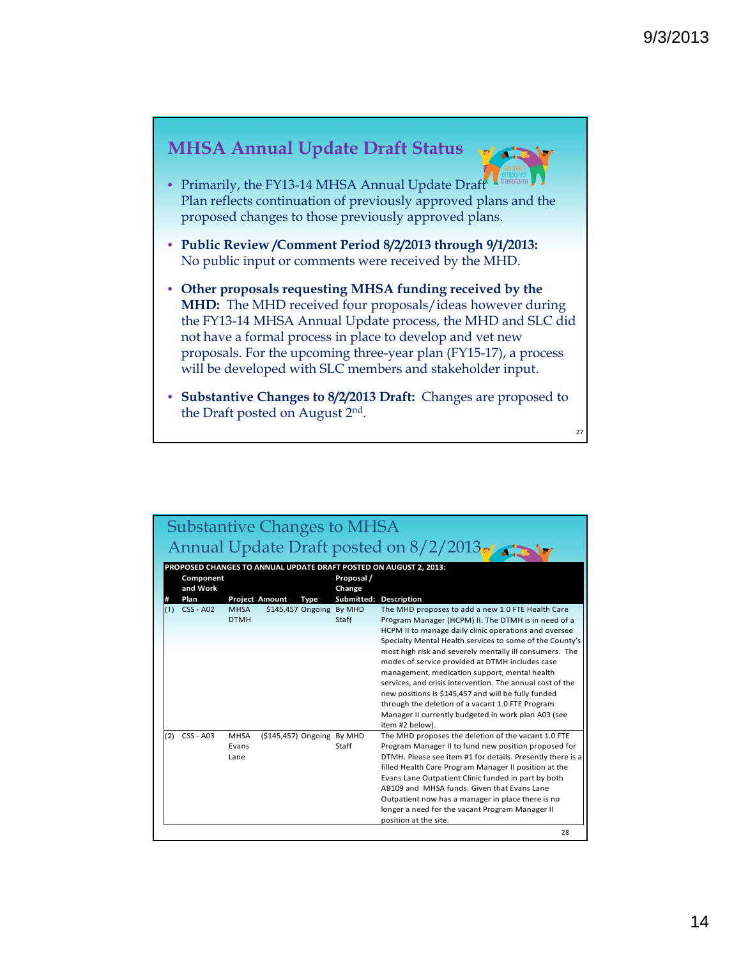

|     | <b>Substantive Changes to MHSA</b> |                              |                              |      |                      |                                                                                                                                                                                                                                                                                                                                                                                                                                                                                                                                                                                                                                                |
|-----|------------------------------------|------------------------------|------------------------------|------|----------------------|------------------------------------------------------------------------------------------------------------------------------------------------------------------------------------------------------------------------------------------------------------------------------------------------------------------------------------------------------------------------------------------------------------------------------------------------------------------------------------------------------------------------------------------------------------------------------------------------------------------------------------------------|
|     |                                    |                              |                              |      |                      | Annual Update Draft posted on 8/2/2013                                                                                                                                                                                                                                                                                                                                                                                                                                                                                                                                                                                                         |
|     | Component<br>and Work<br>Plan      |                              | <b>Project Amount</b>        | Type | Proposal /<br>Change | PROPOSED CHANGES TO ANNUAL UPDATE DRAFT POSTED ON AUGUST 2, 2013:<br>Submitted: Description                                                                                                                                                                                                                                                                                                                                                                                                                                                                                                                                                    |
| (1) | $CSS - A02$                        | <b>MHSA</b><br><b>DTMH</b>   | \$145,457 Ongoing By MHD     |      | Staff                | The MHD proposes to add a new 1.0 FTE Health Care<br>Program Manager (HCPM) II. The DTMH is in need of a<br>HCPM II to manage daily clinic operations and oversee<br>Specialty Mental Health services to some of the County's<br>most high risk and severely mentally ill consumers. The<br>modes of service provided at DTMH includes case<br>management, medication support, mental health<br>services, and crisis intervention. The annual cost of the<br>new positions is \$145,457 and will be fully funded<br>through the deletion of a vacant 1.0 FTE Program<br>Manager II currently budgeted in work plan A03 (see<br>item #2 below). |
| (2) | CSS - A03                          | <b>MHSA</b><br>Evans<br>Lane | $(S145, 457)$ Ongoing By MHD |      | Staff                | The MHD proposes the deletion of the vacant 1.0 FTE<br>Program Manager II to fund new position proposed for<br>DTMH. Please see item #1 for details. Presently there is a<br>filled Health Care Program Manager II position at the<br>Evans Lane Outpatient Clinic funded in part by both<br>AB109 and MHSA funds. Given that Evans Lane<br>Outpatient now has a manager in place there is no<br>longer a need for the vacant Program Manager II<br>position at the site.<br>28                                                                                                                                                                |
|     |                                    |                              |                              |      |                      |                                                                                                                                                                                                                                                                                                                                                                                                                                                                                                                                                                                                                                                |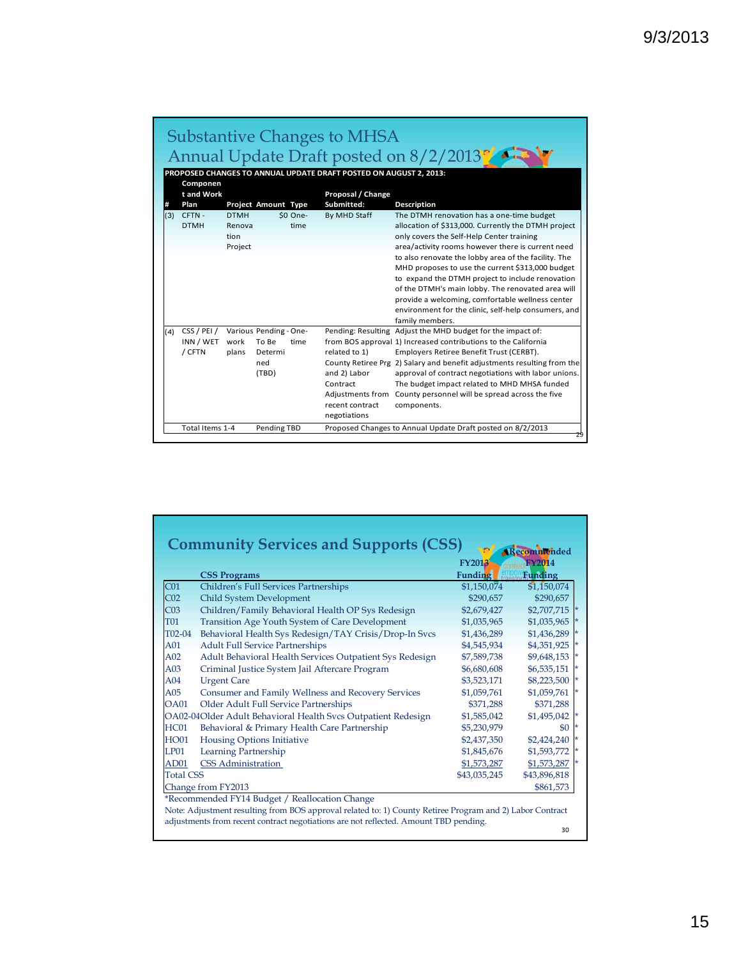|     | Componen        |             |                            |          | PROPOSED CHANGES TO ANNUAL UPDATE DRAFT POSTED ON AUGUST 2, 2013: | Annual Update Draft posted on 8/2/2013 <sup>o</sup>                     |
|-----|-----------------|-------------|----------------------------|----------|-------------------------------------------------------------------|-------------------------------------------------------------------------|
|     | t and Work      |             |                            |          | Proposal / Change                                                 |                                                                         |
|     | Plan            |             | <b>Project Amount Type</b> |          | Submitted:                                                        | <b>Description</b>                                                      |
| (3) | CFTN-           | <b>DTMH</b> |                            | \$0 One- | By MHD Staff                                                      | The DTMH renovation has a one-time budget                               |
|     | <b>DTMH</b>     | Renova      |                            | time     |                                                                   | allocation of \$313,000. Currently the DTMH project                     |
|     |                 | tion        |                            |          |                                                                   | only covers the Self-Help Center training                               |
|     |                 | Project     |                            |          |                                                                   | area/activity rooms however there is current need                       |
|     |                 |             |                            |          |                                                                   | to also renovate the lobby area of the facility. The                    |
|     |                 |             |                            |          |                                                                   | MHD proposes to use the current \$313,000 budget                        |
|     |                 |             |                            |          |                                                                   | to expand the DTMH project to include renovation                        |
|     |                 |             |                            |          |                                                                   | of the DTMH's main lobby. The renovated area will                       |
|     |                 |             |                            |          |                                                                   | provide a welcoming, comfortable wellness center                        |
|     |                 |             |                            |          |                                                                   | environment for the clinic, self-help consumers, and                    |
|     |                 |             |                            |          |                                                                   | family members.                                                         |
| (4) | CSS / PEI /     |             | Various Pending - One-     |          |                                                                   | Pending: Resulting Adjust the MHD budget for the impact of:             |
|     | INN / WET       | work        | To Be                      | time     |                                                                   | from BOS approval 1) Increased contributions to the California          |
|     | / CFTN          | plans       | Determi                    |          | related to 1)                                                     | Employers Retiree Benefit Trust (CERBT).                                |
|     |                 |             | ned                        |          |                                                                   | County Retiree Prg 2) Salary and benefit adjustments resulting from the |
|     |                 |             | (TBD)                      |          | and 2) Labor                                                      | approval of contract negotiations with labor unions.                    |
|     |                 |             |                            |          | Contract                                                          | The budget impact related to MHD MHSA funded                            |
|     |                 |             |                            |          | Adjustments from                                                  | County personnel will be spread across the five                         |
|     |                 |             |                            |          | recent contract                                                   | components.                                                             |
|     |                 |             |                            |          | negotiations                                                      |                                                                         |
|     | Total Items 1-4 |             | Pending TBD                |          |                                                                   | Proposed Changes to Annual Update Draft posted on 8/2/2013              |

|                  | <b>Community Services and Supports (CSS)</b>                                                             |                                 | <b>ARecommended</b>             |
|------------------|----------------------------------------------------------------------------------------------------------|---------------------------------|---------------------------------|
|                  | <b>CSS Programs</b>                                                                                      | <b>FY2013</b><br><b>Funding</b> | <b>FY2014</b><br><b>Funding</b> |
| CO <sub>1</sub>  | Children's Full Services Partnerships                                                                    | \$1,150,074                     | \$1,150,074                     |
| CO <sub>2</sub>  | Child System Development                                                                                 | \$290,657                       | \$290,657                       |
| CO <sub>3</sub>  | Children/Family Behavioral Health OP Sys Redesign                                                        | \$2,679,427                     | $$2,707,715$ *                  |
| <b>T01</b>       | Transition Age Youth System of Care Development                                                          | \$1,035,965                     | $$1,035,965$ *                  |
| T02-04           | Behavioral Health Sys Redesign/TAY Crisis/Drop-In Svcs                                                   | \$1,436,289                     | $$1,436,289$ *                  |
| A01              | <b>Adult Full Service Partnerships</b>                                                                   | \$4,545,934                     | $$4,351,925$ *                  |
| A02              | Adult Behavioral Health Services Outpatient Sys Redesign                                                 | \$7,589,738                     | $$9,648,153$ *                  |
| A03              | Criminal Justice System Jail Aftercare Program                                                           | \$6,680,608                     | $$6,535,151$ *                  |
| A04              | <b>Urgent Care</b>                                                                                       | \$3,523,171                     | $$8,223,500$ *                  |
| A05              | Consumer and Family Wellness and Recovery Services                                                       | \$1,059,761                     | $$1,059,761$ *                  |
| <b>OA01</b>      | Older Adult Full Service Partnerships                                                                    | \$371,288                       | \$371,288                       |
|                  | OA02-04Older Adult Behavioral Health Svcs Outpatient Redesign                                            | \$1,585,042                     | $$1,495,042$ *                  |
| <b>HC01</b>      | Behavioral & Primary Health Care Partnership                                                             | \$5,230,979                     | $$0^{\star}$                    |
| <b>HO01</b>      | <b>Housing Options Initiative</b>                                                                        | \$2,437,350                     | $$2,424,240$ *                  |
| LP01             | Learning Partnership                                                                                     | \$1,845,676                     | \$1,593,772 *                   |
| AD01             | CSS Administration                                                                                       | \$1,573,287                     | $$1,573,287$ *                  |
| <b>Total CSS</b> |                                                                                                          | \$43,035,245                    | \$43,896,818                    |
|                  | Change from FY2013                                                                                       |                                 | \$861,573                       |
|                  | *Recommended FY14 Budget / Reallocation Change                                                           |                                 |                                 |
|                  | Note: Adjustment resulting from BOS approval related to: 1) County Retiree Program and 2) Labor Contract |                                 |                                 |
|                  | adjustments from recent contract negotiations are not reflected. Amount TBD pending.                     |                                 |                                 |
|                  |                                                                                                          |                                 | 30                              |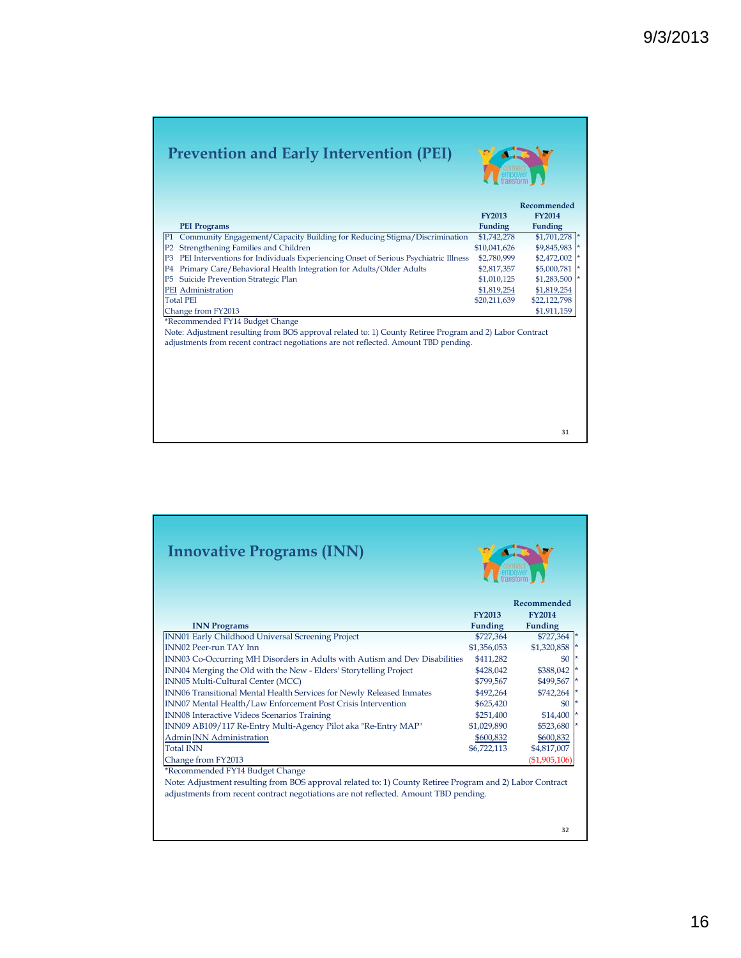| <b>Prevention and Early Intervention (PEI)</b>                                                           |               |                |  |
|----------------------------------------------------------------------------------------------------------|---------------|----------------|--|
|                                                                                                          |               | Recommended    |  |
|                                                                                                          | <b>FY2013</b> | <b>FY2014</b>  |  |
| <b>PEI Programs</b>                                                                                      | Funding       | <b>Funding</b> |  |
| P1 Community Engagement/Capacity Building for Reducing Stigma/Discrimination                             | \$1,742,278   | \$1,701,278    |  |
| Strengthening Families and Children<br>P <sub>2</sub>                                                    | \$10,041,626  | \$9,845,983    |  |
| PEI Interventions for Individuals Experiencing Onset of Serious Psychiatric Illness<br>P <sub>3</sub>    | \$2,780,999   | \$2,472,002    |  |
| Primary Care/Behavioral Health Integration for Adults/Older Adults<br>P <sub>4</sub>                     | \$2,817,357   | \$5,000,781    |  |
| Suicide Prevention Strategic Plan<br>P <sub>5</sub>                                                      | \$1,010,125   | \$1,283,500    |  |
| <b>PEI</b> Administration                                                                                | \$1,819,254   | \$1,819,254    |  |
| <b>Total PEI</b>                                                                                         | \$20,211,639  | \$22,122,798   |  |
| Change from FY2013                                                                                       |               | \$1,911,159    |  |
| *Recommended FY14 Budget Change                                                                          |               |                |  |
| Note: Adjustment resulting from BOS approval related to: 1) County Retiree Program and 2) Labor Contract |               |                |  |
| adjustments from recent contract negotiations are not reflected. Amount TBD pending.                     |               |                |  |
|                                                                                                          |               |                |  |
|                                                                                                          |               |                |  |
|                                                                                                          |               |                |  |
|                                                                                                          |               |                |  |
|                                                                                                          |               |                |  |
|                                                                                                          |               |                |  |
|                                                                                                          |               |                |  |
|                                                                                                          |               |                |  |
|                                                                                                          |               | 31             |  |

| <b>Innovative Programs (INN)</b>                                                                         |                |                 |  |
|----------------------------------------------------------------------------------------------------------|----------------|-----------------|--|
|                                                                                                          |                | Recommended     |  |
|                                                                                                          | <b>FY2013</b>  | <b>FY2014</b>   |  |
| <b>INN Programs</b>                                                                                      | <b>Funding</b> | <b>Funding</b>  |  |
| INN01 Early Childhood Universal Screening Project                                                        | \$727,364      | $$727,364$ *    |  |
| <b>INN02 Peer-run TAY Inn</b>                                                                            | \$1,356,053    | $$1,320,858$ *  |  |
| INN03 Co-Occurring MH Disorders in Adults with Autism and Dev Disabilities                               | \$411,282      | \$0             |  |
| INN04 Merging the Old with the New - Elders' Storytelling Project                                        | \$428,042      | $$388,042$ *    |  |
| INN05 Multi-Cultural Center (MCC)                                                                        | \$799.567      | $$499,567$ *    |  |
| INN06 Transitional Mental Health Services for Newly Released Inmates                                     | \$492.264      | $$742,264$ *    |  |
| INN07 Mental Health/Law Enforcement Post Crisis Intervention                                             | \$625,420      | \$0             |  |
| <b>INN08</b> Interactive Videos Scenarios Training                                                       | \$251,400      | $$14,400$ *     |  |
| INN09 AB109/117 Re-Entry Multi-Agency Pilot aka "Re-Entry MAP"                                           | \$1,029,890    | $$523,680$ *    |  |
| Admin INN Administration                                                                                 | \$600,832      | \$600,832       |  |
| <b>Total INN</b>                                                                                         | \$6,722,113    | \$4,817,007     |  |
| Change from FY2013                                                                                       |                | $(\$1,905,106)$ |  |
| *Recommended FY14 Budget Change                                                                          |                |                 |  |
| Note: Adjustment resulting from BOS approval related to: 1) County Retiree Program and 2) Labor Contract |                |                 |  |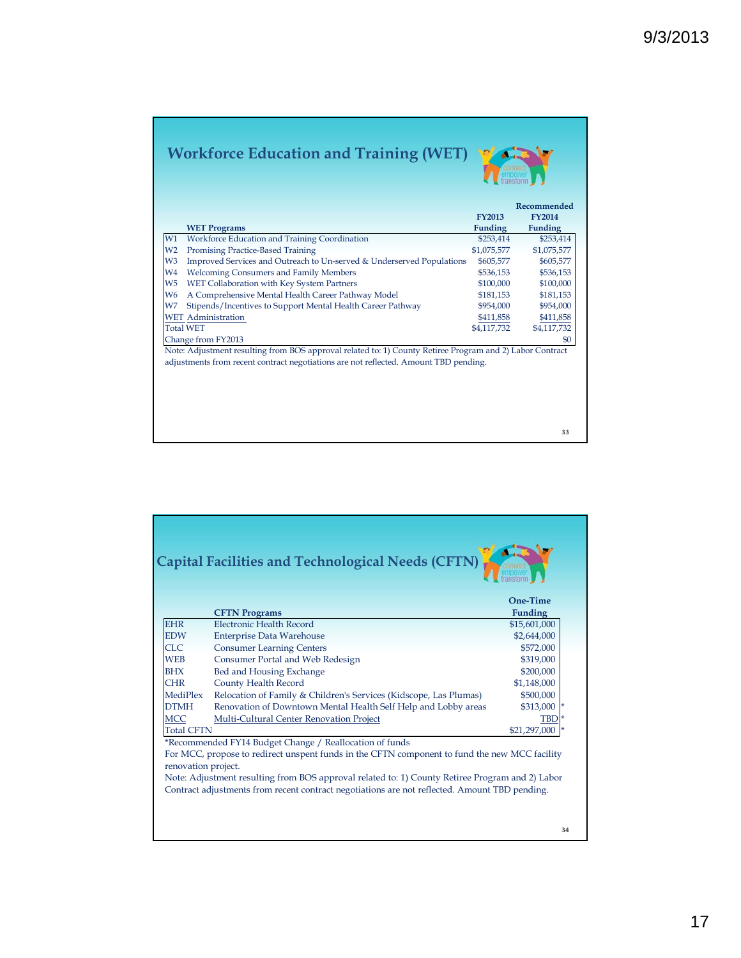| <b>Workforce Education and Training (WET)</b> |  |
|-----------------------------------------------|--|
|-----------------------------------------------|--|



|                |                                                                                                          |                | Recommended    |
|----------------|----------------------------------------------------------------------------------------------------------|----------------|----------------|
|                |                                                                                                          | <b>FY2013</b>  | <b>FY2014</b>  |
|                | <b>WET Programs</b>                                                                                      | <b>Funding</b> | <b>Funding</b> |
| W1             | Workforce Education and Training Coordination                                                            | \$253,414      | \$253,414      |
| W <sub>2</sub> | Promising Practice-Based Training                                                                        | \$1,075,577    | \$1,075,577    |
| W <sub>3</sub> | Improved Services and Outreach to Un-served & Underserved Populations                                    | \$605,577      | \$605,577      |
| W4             | <b>Welcoming Consumers and Family Members</b>                                                            | \$536,153      | \$536,153      |
| W <sub>5</sub> | WET Collaboration with Key System Partners                                                               | \$100,000      | \$100,000      |
| W6             | A Comprehensive Mental Health Career Pathway Model                                                       | \$181,153      | \$181,153      |
| W7             | Stipends/Incentives to Support Mental Health Career Pathway                                              | \$954,000      | \$954,000      |
|                | <b>WET</b> Administration                                                                                | \$411,858      | \$411,858      |
|                | <b>Total WET</b>                                                                                         | \$4,117,732    | \$4,117,732    |
|                | Change from FY2013                                                                                       |                | \$0            |
|                | Note: Adjustment resulting from BOS approval related to: 1) County Retiree Program and 2) Labor Contract |                |                |
|                | adjustments from recent contract negotiations are not reflected. Amount TBD pending.                     |                |                |
|                |                                                                                                          |                |                |
|                |                                                                                                          |                |                |
|                |                                                                                                          |                |                |
|                |                                                                                                          |                |                |

|                     |                                                                                                 | One-Time       |
|---------------------|-------------------------------------------------------------------------------------------------|----------------|
|                     | <b>CFTN</b> Programs                                                                            | <b>Funding</b> |
| <b>EHR</b>          | Electronic Health Record                                                                        | \$15,601,000   |
| <b>EDW</b>          | Enterprise Data Warehouse                                                                       | \$2,644,000    |
| <b>CLC</b>          | <b>Consumer Learning Centers</b>                                                                | \$572,000      |
| <b>WEB</b>          | Consumer Portal and Web Redesign                                                                | \$319,000      |
| <b>BHX</b>          | Bed and Housing Exchange                                                                        | \$200,000      |
| <b>CHR</b>          | County Health Record                                                                            | \$1,148,000    |
| MediPlex            | Relocation of Family & Children's Services (Kidscope, Las Plumas)                               | \$500,000      |
| <b>DTMH</b>         | Renovation of Downtown Mental Health Self Help and Lobby areas                                  | \$313,000      |
| <b>MCC</b>          | Multi-Cultural Center Renovation Project                                                        | <b>TBD</b>     |
| <b>Total CFTN</b>   |                                                                                                 | \$21,297,000   |
|                     | *Recommended FY14 Budget Change / Reallocation of funds                                         |                |
|                     | For MCC, propose to redirect unspent funds in the CFTN component to fund the new MCC facility   |                |
| renovation project. |                                                                                                 |                |
|                     | Note: Adjustment resulting from BOS approval related to: 1) County Retiree Program and 2) Labor |                |
|                     | Contract adjustments from recent contract negotiations are not reflected. Amount TBD pending.   |                |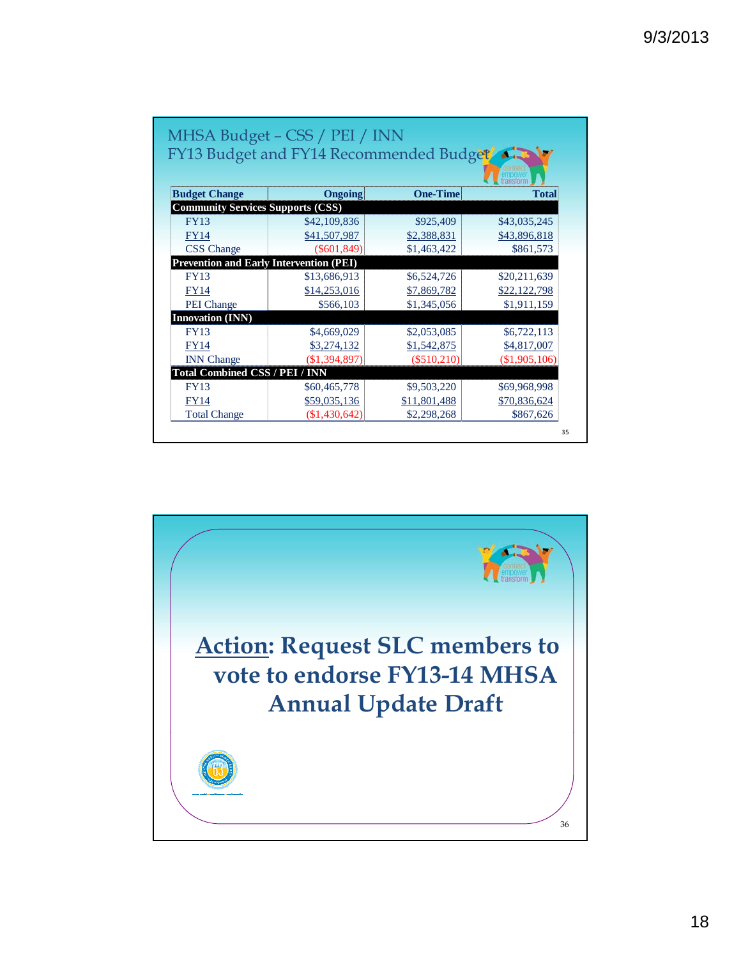| FY13 Budget and FY14 Recommended Budget<br>transform |                 |                 |               |
|------------------------------------------------------|-----------------|-----------------|---------------|
| <b>Budget Change</b>                                 | <b>Ongoing</b>  | <b>One-Time</b> | <b>Total</b>  |
| <b>Community Services Supports (CSS)</b>             |                 |                 |               |
| <b>FY13</b>                                          | \$42,109,836    | \$925,409       | \$43,035,245  |
| <b>FY14</b>                                          | \$41,507,987    | \$2,388,831     | \$43,896,818  |
| <b>CSS</b> Change                                    | $(\$601,849)$   | \$1,463,422     | \$861,573     |
| <b>Prevention and Early Intervention (PEI)</b>       |                 |                 |               |
| <b>FY13</b>                                          | \$13,686,913    | \$6,524,726     | \$20,211,639  |
| <b>FY14</b>                                          | \$14,253,016    | \$7,869,782     | \$22,122,798  |
| <b>PEI</b> Change                                    | \$566,103       | \$1,345,056     | \$1,911,159   |
| <b>Innovation (INN)</b>                              |                 |                 |               |
| <b>FY13</b>                                          | \$4,669,029     | \$2,053,085     | \$6,722,113   |
| <b>FY14</b>                                          | \$3,274,132     | \$1,542,875     | \$4,817,007   |
| <b>INN</b> Change                                    | (\$1,394,897)   | (S510,210)      | (\$1,905,106) |
| <b>Total Combined CSS / PEI / INN</b>                |                 |                 |               |
| <b>FY13</b>                                          | \$60,465,778    | \$9,503,220     | \$69,968,998  |
| <b>FY14</b>                                          | \$59,035,136    | \$11,801,488    | \$70,836,624  |
| <b>Total Change</b>                                  | $(\$1,430,642)$ | \$2,298,268     | \$867,626     |

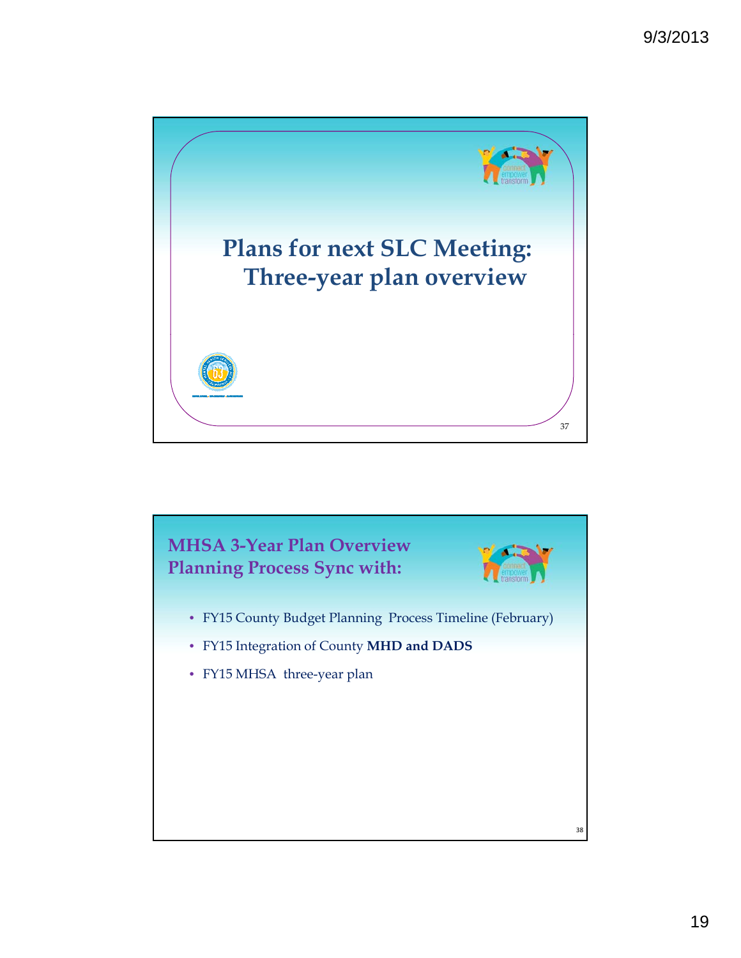

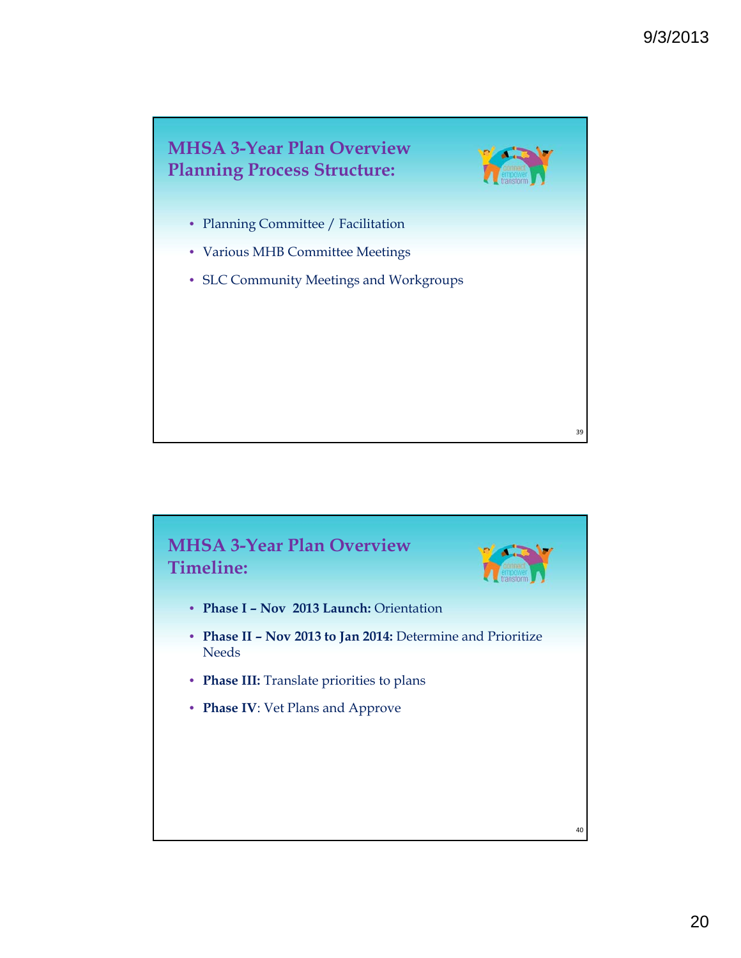